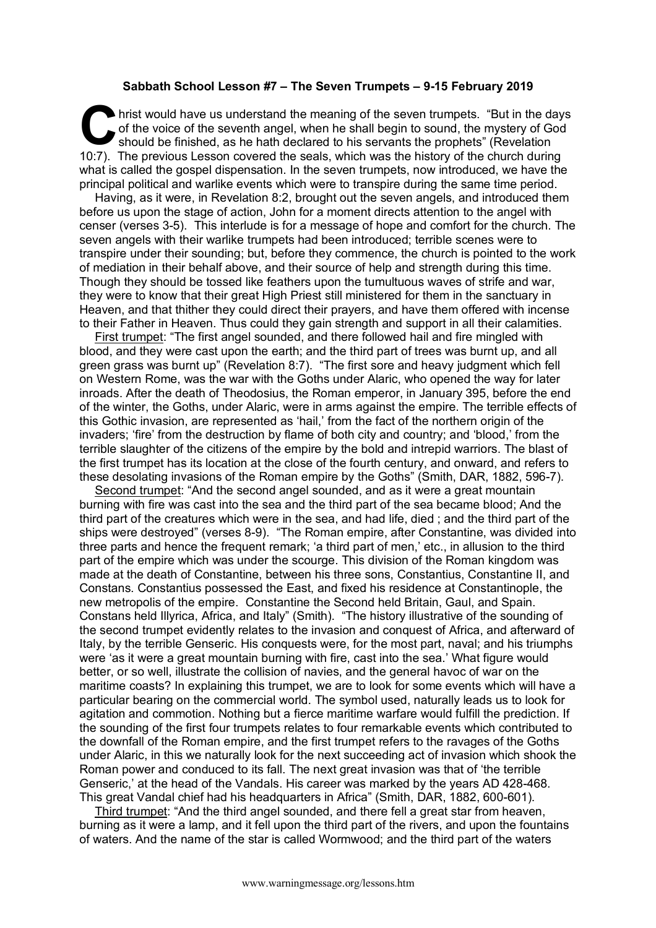## **Sabbath School Lesson #7 – The Seven Trumpets – 9-15 February 2019**

hrist would have us understand the meaning of the seven trumpets. "But in the days of the voice of the seventh angel, when he shall begin to sound, the mystery of God should be finished, as he hath declared to his servants the prophets" (Revelation 10:7). The previous Lesson covered the seals, which was the history of the church during what is called the gospel dispensation. In the seven trumpets, now introduced, we have the principal political and warlike events which were to transpire during the same time period. **C** hris

Having, as it were, in Revelation 8:2, brought out the seven angels, and introduced them before us upon the stage of action, John for a moment directs attention to the angel with censer (verses 3-5). This interlude is for a message of hope and comfort for the church. The seven angels with their warlike trumpets had been introduced; terrible scenes were to transpire under their sounding; but, before they commence, the church is pointed to the work of mediation in their behalf above, and their source of help and strength during this time. Though they should be tossed like feathers upon the tumultuous waves of strife and war, they were to know that their great High Priest still ministered for them in the sanctuary in Heaven, and that thither they could direct their prayers, and have them offered with incense to their Father in Heaven. Thus could they gain strength and support in all their calamities.

First trumpet: "The first angel sounded, and there followed hail and fire mingled with blood, and they were cast upon the earth; and the third part of trees was burnt up, and all green grass was burnt up" (Revelation 8:7). "The first sore and heavy judgment which fell on Western Rome, was the war with the Goths under Alaric, who opened the way for later inroads. After the death of Theodosius, the Roman emperor, in January 395, before the end of the winter, the Goths, under Alaric, were in arms against the empire. The terrible effects of this Gothic invasion, are represented as 'hail,' from the fact of the northern origin of the invaders; 'fire' from the destruction by flame of both city and country; and 'blood,' from the terrible slaughter of the citizens of the empire by the bold and intrepid warriors. The blast of the first trumpet has its location at the close of the fourth century, and onward, and refers to these desolating invasions of the Roman empire by the Goths" (Smith, DAR, 1882, 596-7).

Second trumpet: "And the second angel sounded, and as it were a great mountain burning with fire was cast into the sea and the third part of the sea became blood; And the third part of the creatures which were in the sea, and had life, died ; and the third part of the ships were destroyed" (verses 8-9). "The Roman empire, after Constantine, was divided into three parts and hence the frequent remark; 'a third part of men,' etc., in allusion to the third part of the empire which was under the scourge. This division of the Roman kingdom was made at the death of Constantine, between his three sons, Constantius, Constantine II, and Constans. Constantius possessed the East, and fixed his residence at Constantinople, the new metropolis of the empire. Constantine the Second held Britain, Gaul, and Spain. Constans held Illyrica, Africa, and Italy" (Smith). "The history illustrative of the sounding of the second trumpet evidently relates to the invasion and conquest of Africa, and afterward of Italy, by the terrible Genseric. His conquests were, for the most part, naval; and his triumphs were 'as it were a great mountain burning with fire, cast into the sea.' What figure would better, or so well, illustrate the collision of navies, and the general havoc of war on the maritime coasts? In explaining this trumpet, we are to look for some events which will have a particular bearing on the commercial world. The symbol used, naturally leads us to look for agitation and commotion. Nothing but a fierce maritime warfare would fulfill the prediction. If the sounding of the first four trumpets relates to four remarkable events which contributed to the downfall of the Roman empire, and the first trumpet refers to the ravages of the Goths under Alaric, in this we naturally look for the next succeeding act of invasion which shook the Roman power and conduced to its fall. The next great invasion was that of 'the terrible Genseric,' at the head of the Vandals. His career was marked by the years AD 428-468. This great Vandal chief had his headquarters in Africa" (Smith, DAR, 1882, 600-601).

Third trumpet: "And the third angel sounded, and there fell a great star from heaven, burning as it were a lamp, and it fell upon the third part of the rivers, and upon the fountains of waters. And the name of the star is called Wormwood; and the third part of the waters